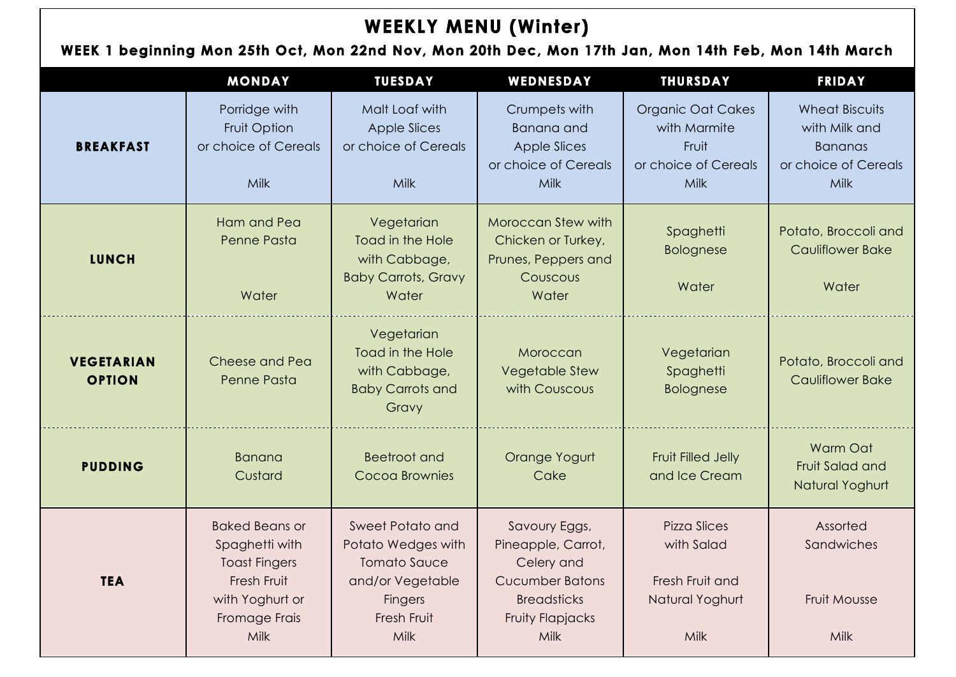### **WEEK 1 beginning Mon 25th Oct, Mon 22nd Nov, Mon 20th Dec, Mon 17th Jan, Mon 14th Feb, Mon 14th March**

|                                    | <b>MONDAY</b>                                                                                                                     | <b>TUESDAY</b>                                                                                                             | WEDNESDAY                                                                                                                            | <b>THURSDAY</b>                                                                   | <b>FRIDAY</b>                                                                            |
|------------------------------------|-----------------------------------------------------------------------------------------------------------------------------------|----------------------------------------------------------------------------------------------------------------------------|--------------------------------------------------------------------------------------------------------------------------------------|-----------------------------------------------------------------------------------|------------------------------------------------------------------------------------------|
| <b>BREAKFAST</b>                   | Porridge with<br>Fruit Option<br>or choice of Cereals<br><b>Milk</b>                                                              | Malt Loaf with<br><b>Apple Slices</b><br>or choice of Cereals<br>Milk                                                      | Crumpets with<br><b>Banana</b> and<br><b>Apple Slices</b><br>or choice of Cereals<br><b>Milk</b>                                     | <b>Organic Oat Cakes</b><br>with Marmite<br>Fruit<br>or choice of Cereals<br>Milk | <b>Wheat Biscuits</b><br>with Milk and<br><b>Bananas</b><br>or choice of Cereals<br>Milk |
| <b>LUNCH</b>                       | Ham and Pea<br>Penne Pasta<br>Water                                                                                               | Vegetarian<br>Toad in the Hole<br>with Cabbage,<br><b>Baby Carrots, Gravy</b><br>Water                                     | Moroccan Stew with<br>Chicken or Turkey,<br>Prunes, Peppers and<br>Couscous<br>Water                                                 | Spaghetti<br><b>Bolognese</b><br>Water                                            | Potato, Broccoli and<br><b>Cauliflower Bake</b><br>Water                                 |
| <b>VEGETARIAN</b><br><b>OPTION</b> | Cheese and Pea<br>Penne Pasta                                                                                                     | Vegetarian<br>Toad in the Hole<br>with Cabbage,<br><b>Baby Carrots and</b><br>Gravy                                        | Moroccan<br><b>Vegetable Stew</b><br>with Couscous                                                                                   | Vegetarian<br>Spaghetti<br><b>Bolognese</b>                                       | Potato, Broccoli and<br><b>Cauliflower Bake</b>                                          |
| <b>PUDDING</b>                     | <b>Banana</b><br>Custard                                                                                                          | <b>Beetroot and</b><br>Cocoa Brownies                                                                                      | Orange Yogurt<br>Cake                                                                                                                | Fruit Filled Jelly<br>and Ice Cream                                               | Warm Oat<br>Fruit Salad and<br>Natural Yoghurt                                           |
| <b>TEA</b>                         | <b>Baked Beans or</b><br>Spaghetti with<br><b>Toast Fingers</b><br>Fresh Fruit<br>with Yoghurt or<br>Fromage Frais<br><b>Milk</b> | Sweet Potato and<br>Potato Wedges with<br><b>Tomato Sauce</b><br>and/or Vegetable<br><b>Fingers</b><br>Fresh Fruit<br>Milk | Savoury Eggs,<br>Pineapple, Carrot,<br>Celery and<br><b>Cucumber Batons</b><br><b>Breadsticks</b><br>Fruity Flapjacks<br><b>Milk</b> | <b>Pizza Slices</b><br>with Salad<br>Fresh Fruit and<br>Natural Yoghurt<br>Milk   | Assorted<br>Sandwiches<br>Fruit Mousse<br>Milk                                           |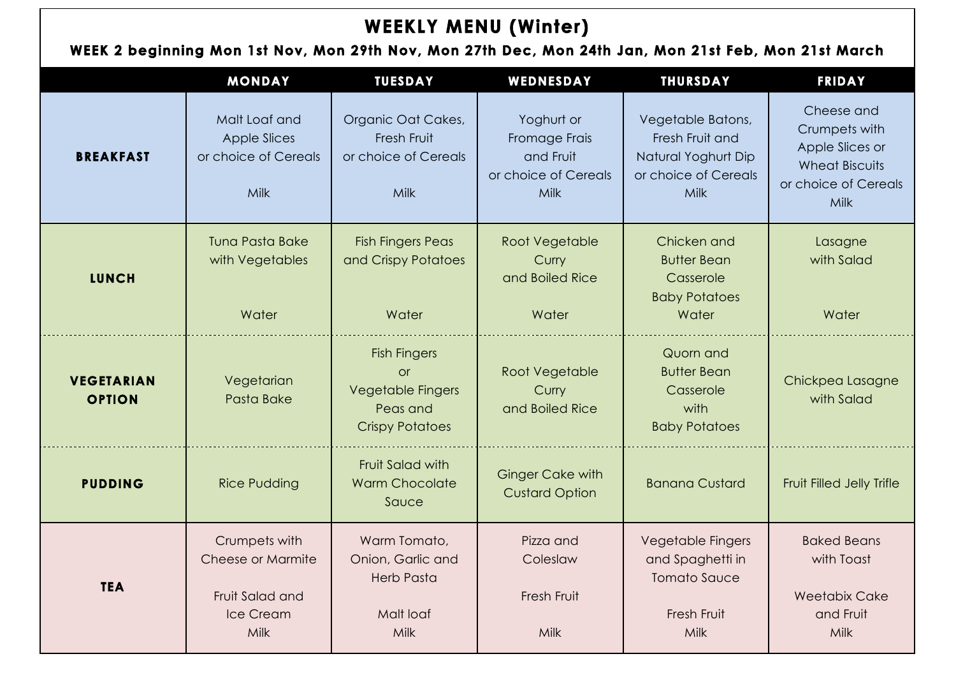### **WEEK 2 beginning Mon 1st Nov, Mon 29th Nov, Mon 27th Dec, Mon 24th Jan, Mon 21st Feb, Mon 21st March**

|                                    | <b>MONDAY</b>                                                              | <b>TUESDAY</b>                                                                                     | WEDNESDAY                                                                | <b>THURSDAY</b>                                                                             | <b>FRIDAY</b>                                                                                           |
|------------------------------------|----------------------------------------------------------------------------|----------------------------------------------------------------------------------------------------|--------------------------------------------------------------------------|---------------------------------------------------------------------------------------------|---------------------------------------------------------------------------------------------------------|
| <b>BREAKFAST</b>                   | Malt Loaf and<br><b>Apple Slices</b><br>or choice of Cereals<br>Milk       | Organic Oat Cakes,<br>Fresh Fruit<br>or choice of Cereals<br>Milk                                  | Yoghurt or<br>Fromage Frais<br>and Fruit<br>or choice of Cereals<br>Milk | Vegetable Batons,<br>Fresh Fruit and<br>Natural Yoghurt Dip<br>or choice of Cereals<br>Milk | Cheese and<br>Crumpets with<br>Apple Slices or<br><b>Wheat Biscuits</b><br>or choice of Cereals<br>Milk |
| <b>LUNCH</b>                       | <b>Tuna Pasta Bake</b><br>with Vegetables<br>Water                         | <b>Fish Fingers Peas</b><br>and Crispy Potatoes<br>Water                                           | Root Vegetable<br>Curry<br>and Boiled Rice<br>Water                      | Chicken and<br><b>Butter Bean</b><br>Casserole<br><b>Baby Potatoes</b><br>Water             | Lasagne<br>with Salad<br>Water                                                                          |
| <b>VEGETARIAN</b><br><b>OPTION</b> | Vegetarian<br>Pasta Bake                                                   | <b>Fish Fingers</b><br><b>or</b><br><b>Vegetable Fingers</b><br>Peas and<br><b>Crispy Potatoes</b> | Root Vegetable<br>Curry<br>and Boiled Rice                               | Quorn and<br><b>Butter Bean</b><br>Casserole<br>with<br><b>Baby Potatoes</b>                | Chickpea Lasagne<br>with Salad                                                                          |
| <b>PUDDING</b>                     | <b>Rice Pudding</b>                                                        | Fruit Salad with<br><b>Warm Chocolate</b><br>Sauce                                                 | <b>Ginger Cake with</b><br><b>Custard Option</b>                         | <b>Banana Custard</b>                                                                       | Fruit Filled Jelly Trifle                                                                               |
| <b>TEA</b>                         | Crumpets with<br>Cheese or Marmite<br>Fruit Salad and<br>Ice Cream<br>Milk | Warm Tomato,<br>Onion, Garlic and<br><b>Herb Pasta</b><br>Malt loaf<br>Milk                        | Pizza and<br>Coleslaw<br>Fresh Fruit<br>Milk                             | <b>Vegetable Fingers</b><br>and Spaghetti in<br><b>Tomato Sauce</b><br>Fresh Fruit<br>Milk  | <b>Baked Beans</b><br>with Toast<br><b>Weetabix Cake</b><br>and Fruit<br>Milk                           |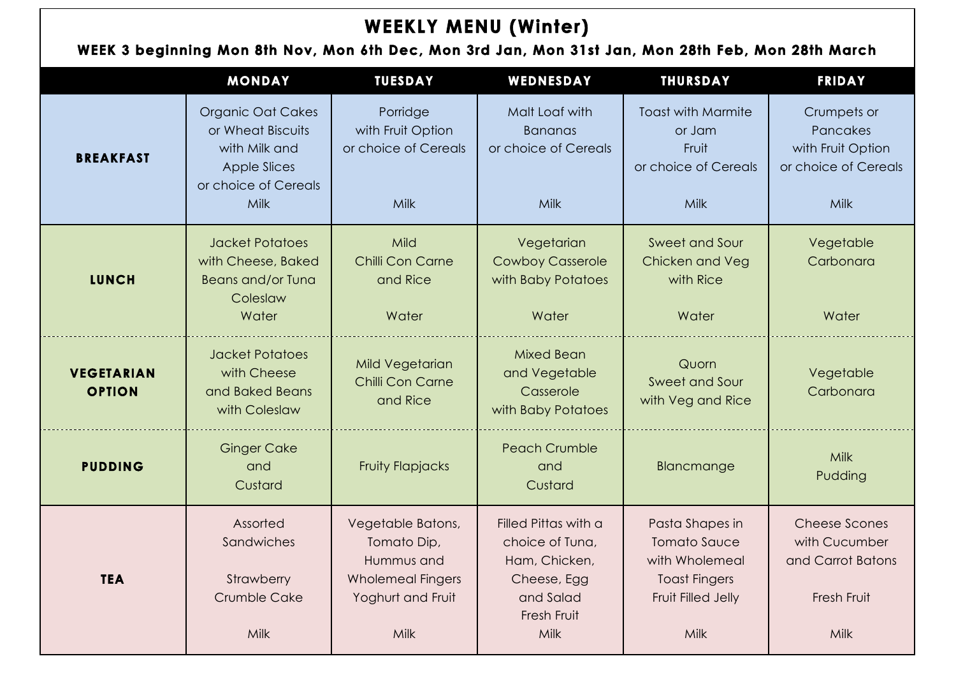### **WEEK 3 beginning Mon 8th Nov, Mon 6th Dec, Mon 3rd Jan, Mon 31st Jan, Mon 28th Feb, Mon 28th March**

|                                    | <b>MONDAY</b>                                                                                                                | <b>TUESDAY</b>                                                                                          | WEDNESDAY                                                                                                   | <b>THURSDAY</b>                                                                                                | <b>FRIDAY</b>                                                                       |
|------------------------------------|------------------------------------------------------------------------------------------------------------------------------|---------------------------------------------------------------------------------------------------------|-------------------------------------------------------------------------------------------------------------|----------------------------------------------------------------------------------------------------------------|-------------------------------------------------------------------------------------|
| <b>BREAKFAST</b>                   | <b>Organic Oat Cakes</b><br>or Wheat Biscuits<br>with Milk and<br><b>Apple Slices</b><br>or choice of Cereals<br><b>Milk</b> | Porridge<br>with Fruit Option<br>or choice of Cereals<br>Milk                                           | Malt Loaf with<br><b>Bananas</b><br>or choice of Cereals<br>Milk                                            | <b>Toast with Marmite</b><br>or Jam<br>Fruit<br>or choice of Cereals<br>Milk                                   | Crumpets or<br>Pancakes<br>with Fruit Option<br>or choice of Cereals<br><b>Milk</b> |
| <b>LUNCH</b>                       | <b>Jacket Potatoes</b><br>with Cheese, Baked<br><b>Beans and/or Tuna</b><br>Coleslaw<br>Water                                | Mild<br>Chilli Con Carne<br>and Rice<br>Water                                                           | Vegetarian<br><b>Cowboy Casserole</b><br>with Baby Potatoes<br>Water                                        | Sweet and Sour<br>Chicken and Veg<br>with Rice<br>Water                                                        | Vegetable<br>Carbonara<br>Water                                                     |
| <b>VEGETARIAN</b><br><b>OPTION</b> | <b>Jacket Potatoes</b><br>with Cheese<br>and Baked Beans<br>with Coleslaw                                                    | Mild Vegetarian<br>Chilli Con Carne<br>and Rice                                                         | <b>Mixed Bean</b><br>and Vegetable<br>Casserole<br>with Baby Potatoes                                       | Quorn<br>Sweet and Sour<br>with Veg and Rice                                                                   | Vegetable<br>Carbonara                                                              |
| <b>PUDDING</b>                     | <b>Ginger Cake</b><br>and<br>Custard                                                                                         | <b>Fruity Flapjacks</b>                                                                                 | <b>Peach Crumble</b><br>and<br>Custard                                                                      | Blancmange                                                                                                     | Milk<br>Pudding                                                                     |
| <b>TEA</b>                         | Assorted<br>Sandwiches<br>Strawberry<br><b>Crumble Cake</b><br>Milk                                                          | Vegetable Batons,<br>Tomato Dip,<br>Hummus and<br><b>Wholemeal Fingers</b><br>Yoghurt and Fruit<br>Milk | Filled Pittas with a<br>choice of Tuna,<br>Ham, Chicken,<br>Cheese, Egg<br>and Salad<br>Fresh Fruit<br>Milk | Pasta Shapes in<br><b>Tomato Sauce</b><br>with Wholemeal<br><b>Toast Fingers</b><br>Fruit Filled Jelly<br>Milk | <b>Cheese Scones</b><br>with Cucumber<br>and Carrot Batons<br>Fresh Fruit<br>Milk   |